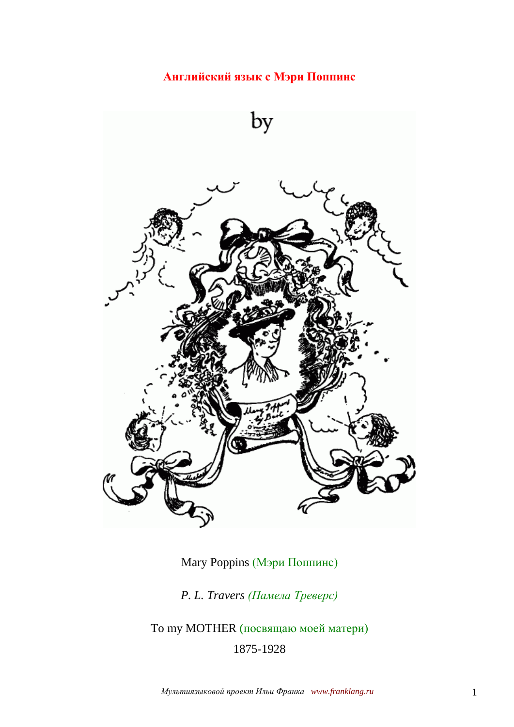**Английский язык с Мэри Поппинс**



Mary Poppins (Мэри Поппинс)

*P. L. Travers (Памела Треверс)*

To my MOTHER (посвящаю моей матери) 1875-1928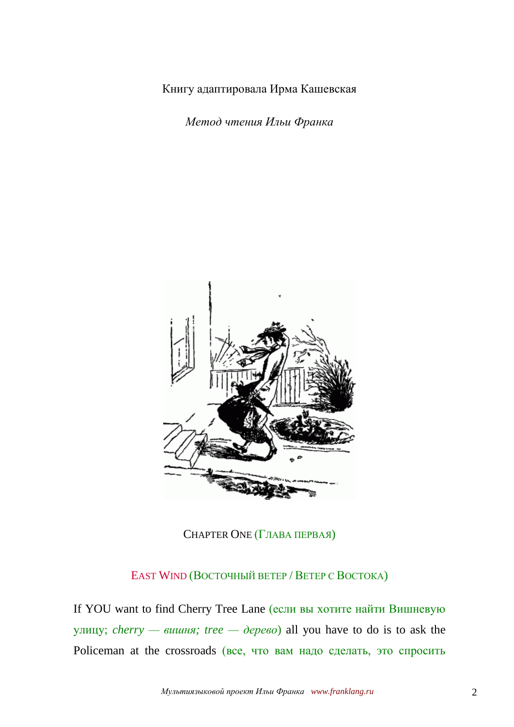Книгу адаптировала Ирма Кашевская

*Метод чтения Ильи Франка*



CHAPTER ONE (ГЛАВА ПЕРВАЯ)

EAST WIND (ВОСТОЧНЫЙ ВЕТЕР / ВЕТЕР С ВОСТОКА)

If YOU want to find Cherry Tree Lane (если вы хотите найти Вишневую улицу; *cherry — вишня; tree — дерево*) all you have to do is to ask the Policeman at the crossroads (все, что вам надо сделать, это спросить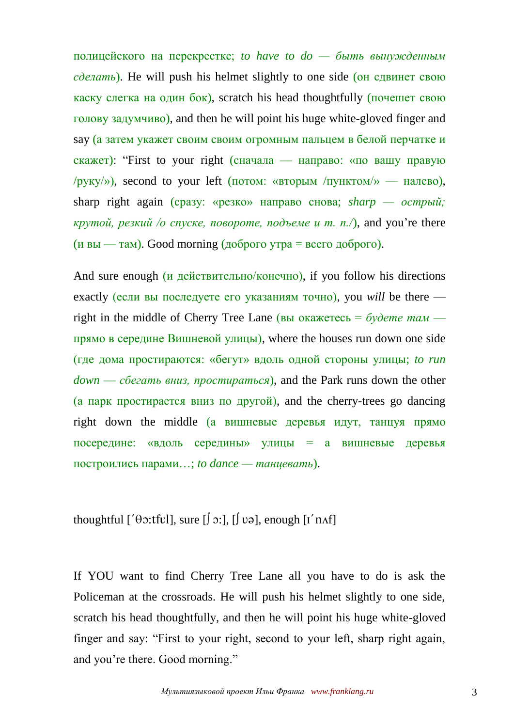полицейского на перекрестке; *to have to do — быть вынужденным сделать*). He will push his helmet slightly to one side (он сдвинет свою каску слегка на один бок), scratch his head thoughtfully (почешет свою голову задумчиво), and then he will point his huge white-gloved finger and say (а затем укажет своим своим огромным пальцем в белой перчатке и скажет): "First to your right (сначала — направо: «по вашу правую /руку/»), second to your left (потом: «вторым /пунктом/» — налево), sharp right again (сразу: «резко» направо снова; *sharp — острый; крутой, резкий /о спуске, повороте, подъеме и т. п./*), and you're there  $(u$  вы — там). Good morning (доброго утра = всего доброго).

And sure enough (*и действительно*/конечно), if you follow his directions exactly (если вы последуете его указаниям точно), you *will* be there right in the middle of Cherry Tree Lane (вы окажетесь = *будете там* прямо в середине Вишневой улицы), where the houses run down one side (где дома простираются: «бегут» вдоль одной стороны улицы; *to run down* — *сбегать вниз, простираться*), and the Park runs down the other (а парк простирается вниз по другой), and the cherry-trees go dancing right down the middle (а вишневые деревья идут, танцуя прямо посередине: «вдоль середины» улицы = а вишневые деревья построились парами…; *to dance — танцевать*).

thoughtful [' $\theta$ 2:tfvl], sure  $[\int$  2:],  $[\int$  və], enough  $[I'$  n $\Lambda f]$ 

If YOU want to find Cherry Tree Lane all you have to do is ask the Policeman at the crossroads. He will push his helmet slightly to one side, scratch his head thoughtfully, and then he will point his huge white-gloved finger and say: "First to your right, second to your left, sharp right again, and you're there. Good morning."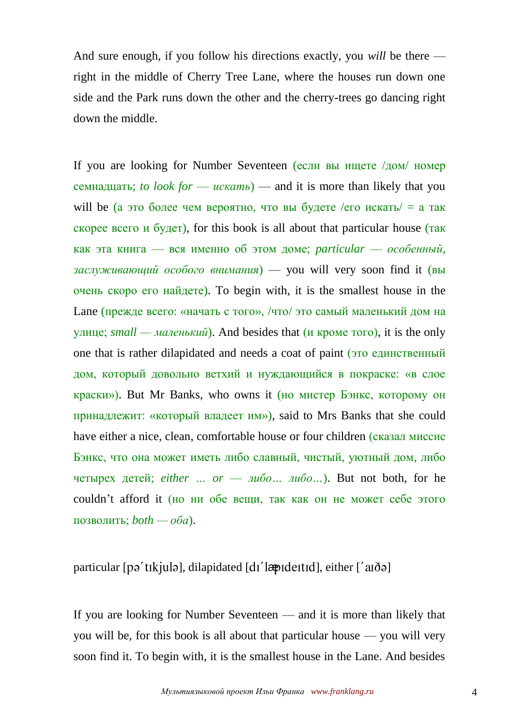And sure enough, if you follow his directions exactly, you *will* be there right in the middle of Cherry Tree Lane, where the houses run down one side and the Park runs down the other and the cherry-trees go dancing right down the middle.

If you are looking for Number Seventeen (если вы ищете /дом/ номер семнадцать; *to look for* — *искать*) — and it is more than likely that you will be (а это более чем вероятно, что вы будете /его искать/ = а так скорее всего и будет), for this book is all about that particular house (так как эта книга — вся именно об этом доме; *particular* — *особенный, заслуживающий особого внимания*) — you will very soon find it (вы очень скоро его найдете). To begin with, it is the smallest house in the Lane (прежде всего: «начать с того», /что/ это самый маленький дом на улице; *small — маленький*). And besides that (и кроме того), it is the only one that is rather dilapidated and needs a coat of paint (это единственный дом, который довольно ветхий и нуждающийся в покраске: «в слое краски»). But Mr Banks, who owns it (но мистер Бэнкс, которому он принадлежит: «который владеет им»), said to Mrs Banks that she could have either a nice, clean, comfortable house or four children (сказал миссис Бэнкс, что она может иметь либо славный, чистый, уютный дом, либо четырех детей; *either … or* — *либо… либо…*). But not both, for he couldn't afford it (но ни обе вещи, так как он не может себе этого позволить; *both — оба*).

## particular [pə'tɪkjulə], dilapidated [dɪ'lændeɪtɪd], either ['aɪðə]

If you are looking for Number Seventeen — and it is more than likely that you will be, for this book is all about that particular house — you will very soon find it. To begin with, it is the smallest house in the Lane. And besides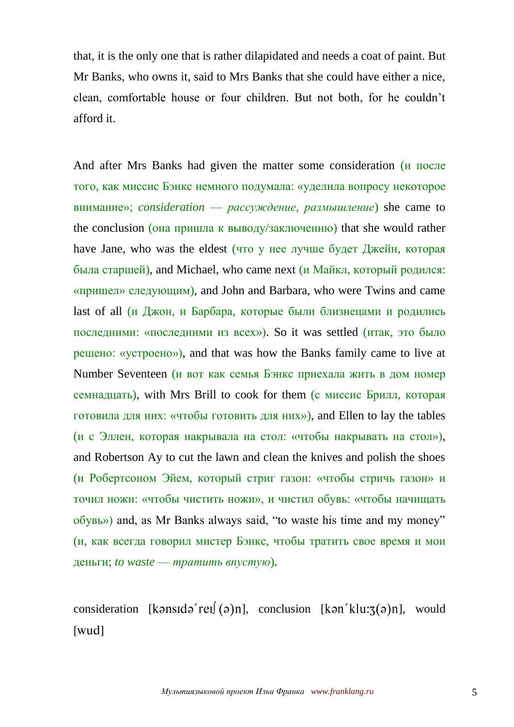that, it is the only one that is rather dilapidated and needs a coat of paint. But Mr Banks, who owns it, said to Mrs Banks that she could have either a nice, clean, comfortable house or four children. But not both, for he couldn't afford it.

And after Mrs Banks had given the matter some consideration (и после того, как миссис Бэнкс немного подумала: «уделила вопросу некоторое внимание»; *consideration* — *рассуждение, размышление*) she came to the conclusion (она пришла к выводу/заключению) that she would rather have Jane, who was the eldest (что у нее лучше будет Джейн, которая была старшей), and Michael, who came next (и Майкл, который родился: «пришел» следующим), and John and Barbara, who were Twins and came last of all (и Джон, и Барбара, которые были близнецами и родились последними: «последними из всех»). So it was settled (итак, это было решено: «устроено»), and that was how the Banks family came to live at Number Seventeen (и вот как семья Бэнкс приехала жить в дом номер семнадцать), with Mrs Brill to cook for them (с миссис Брилл, которая готовила для них: «чтобы готовить для них»), and Ellen to lay the tables (и с Эллен, которая накрывала на стол: «чтобы накрывать на стол»), and Robertson Ay to cut the lawn and clean the knives and polish the shoes (и Робертсоном Эйем, который стриг газон: «чтобы стричь газон» и точил ножи: «чтобы чистить ножи», и чистил обувь: «чтобы начищать обувь») and, as Mr Banks always said, "to waste his time and my money" (и, как всегда говорил мистер Бэнкс, чтобы тратить свое время и мои деньги; *to waste* — *тратить впустую*).

consideration [kənsidə'rei](ə)n], conclusion [kən'klu: $\mathfrak{z}(\mathfrak{z})$ n], would  $[$ wud $]$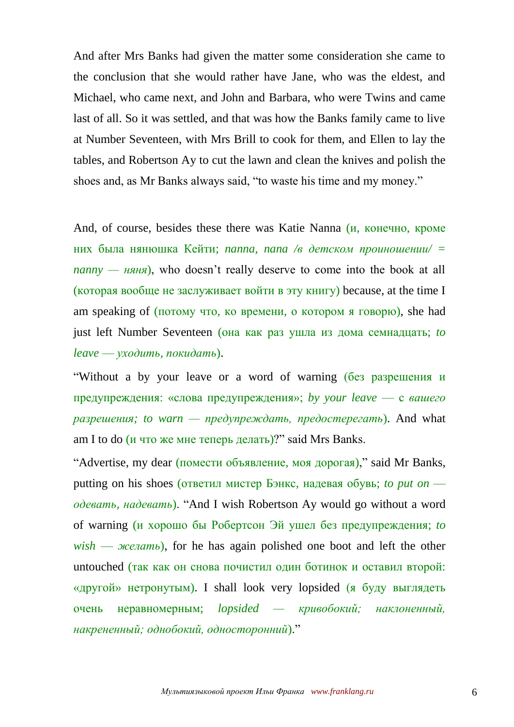And after Mrs Banks had given the matter some consideration she came to the conclusion that she would rather have Jane, who was the eldest, and Michael, who came next, and John and Barbara, who were Twins and came last of all. So it was settled, and that was how the Banks family came to live at Number Seventeen, with Mrs Brill to cook for them, and Ellen to lay the tables, and Robertson Ay to cut the lawn and clean the knives and polish the shoes and, as Mr Banks always said, "to waste his time and my money."

And, of course, besides these there was Katie Nanna (и, конечно, кроме них была нянюшка Кейти; *nanna, nana /в детском проиношении/ = nanny — няня*), who doesn't really deserve to come into the book at all (которая вообще не заслуживает войти в эту книгу) because, at the time I am speaking of (потому что, ко времени, о котором я говорю), she had just left Number Seventeen (она как раз ушла из дома семнадцать; *to leave* — *уходить, покидать*).

"Without a by your leave or a word of warning (без разрешения и предупреждения: «слова предупреждения»; *by your leave* — с *вашего разрешения; to warn — предупреждать, предостерегать*). And what am I to do (и что же мне теперь делать)?" said Mrs Banks.

"Advertise, my dear (помести объявление, моя дорогая)," said Mr Banks, putting on his shoes (ответил мистер Бэнкс, надевая обувь; *to put on одевать, надевать*). "And I wish Robertson Ay would go without a word of warning (и хорошо бы Робертсон Эй ушел без предупреждения; *to wish* — *желать*), for he has again polished one boot and left the other untouched (так как он снова почистил один ботинок и оставил второй: «другой» нетронутым). I shall look very lopsided (я буду выглядеть очень неравномерным; *lopsided — кривобокий; наклоненный, накрененный; однобокий, односторонний*)."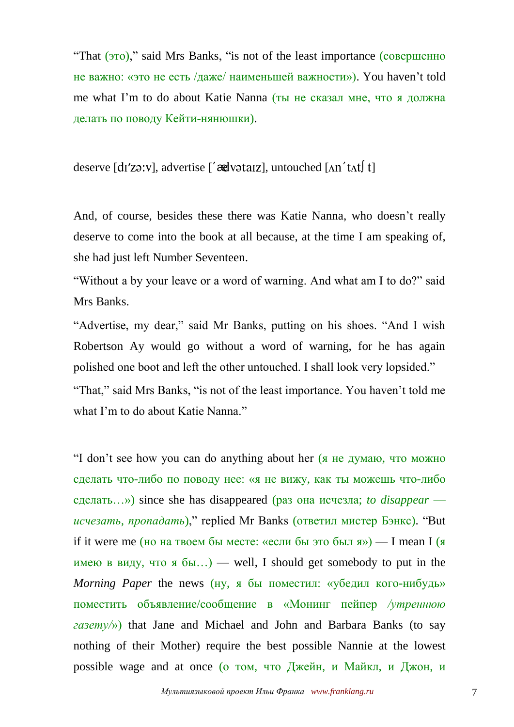"That (это)," said Mrs Banks, "is not of the least importance (совершенно не важно: «это не есть /даже/ наименьшей важности»). You haven't told me what I'm to do about Katie Nanna (ты не сказал мне, что я должна делать по поводу Кейти-нянюшки).

deserve  $\left[ \frac{d}{2} x^2 y \right]$ , advertise  $\left[ \frac{d}{d} x \right]$ , untouched  $\left[ \frac{d}{d} x \right]$  t

And, of course, besides these there was Katie Nanna, who doesn't really deserve to come into the book at all because, at the time I am speaking of, she had just left Number Seventeen.

"Without a by your leave or a word of warning. And what am I to do?" said Mrs Banks.

"Advertise, my dear," said Mr Banks, putting on his shoes. "And I wish Robertson Ay would go without a word of warning, for he has again polished one boot and left the other untouched. I shall look very lopsided." "That," said Mrs Banks, "is not of the least importance. You haven't told me what I'm to do about Katie Nanna."

"I don't see how you can do anything about her (я не думаю, что можно сделать что-либо по поводу нее: «я не вижу, как ты можешь что-либо сделать…») since she has disappeared (раз она исчезла; *to disappear исчезать, пропадать*)," replied Mr Banks (ответил мистер Бэнкс). "But if it were me (но на твоем бы месте: «если бы это был я») — I mean I (я имею в виду, что я  $\delta$ ы...) — well, I should get somebody to put in the *Morning Paper* the news (ну, я бы поместил: «убедил кого-нибудь» поместить объявление/сообщение в «Монинг пейпер */утреннюю газету/*») that Jane and Michael and John and Barbara Banks (to say nothing of their Mother) require the best possible Nannie at the lowest possible wage and at once (о том, что Джейн, и Майкл, и Джон, и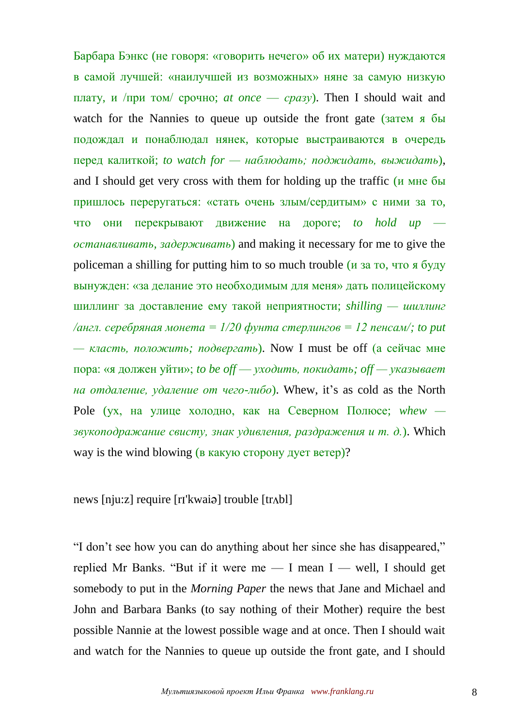Барбара Бэнкс (не говоря: «говорить нечего» об их матери) нуждаются в самой лучшей: «наилучшей из возможных» няне за самую низкую плату, и /при том/ срочно; *at once* — *сразу*). Then I should wait and watch for the Nannies to queue up outside the front gate (затем я бы подождал и понаблюдал нянек, которые выстраиваются в очередь перед калиткой; *to watch for — наблюдать; поджидать, выжидать*), and I should get very cross with them for holding up the traffic (и мне бы пришлось переругаться: «стать очень злым/сердитым» с ними за то, что они перекрывают движение на дороге; *to hold up останавливать, задерживать*) and making it necessary for me to give the policeman a shilling for putting him to so much trouble  $(u$  за то, что я буду вынужден: «за делание это необходимым для меня» дать полицейскому шиллинг за доставление ему такой неприятности; *shilling — шиллинг /англ. серебряная монета = 1/20 фунта стерлингов = 12 пенсам/; to put — класть, положить; подвергать*). Now I must be off (а сейчас мне пора: «я должен уйти»; *to be off* — *уходить, покидать; off — указывает на отдаление, удаление от чего-либо*). Whew, it's as cold as the North Pole (ух, на улице холодно, как на Северном Полюсе; *whew звукоподражание свисту, знак удивления, раздражения и т. д.*). Which way is the wind blowing (в какую сторону дует ветер)?

news [nju:z] require [r ['kwai ə] trouble [tr Abl]

"I don't see how you can do anything about her since she has disappeared," replied Mr Banks. "But if it were me — I mean I — well, I should get somebody to put in the *Morning Paper* the news that Jane and Michael and John and Barbara Banks (to say nothing of their Mother) require the best possible Nannie at the lowest possible wage and at once. Then I should wait and watch for the Nannies to queue up outside the front gate, and I should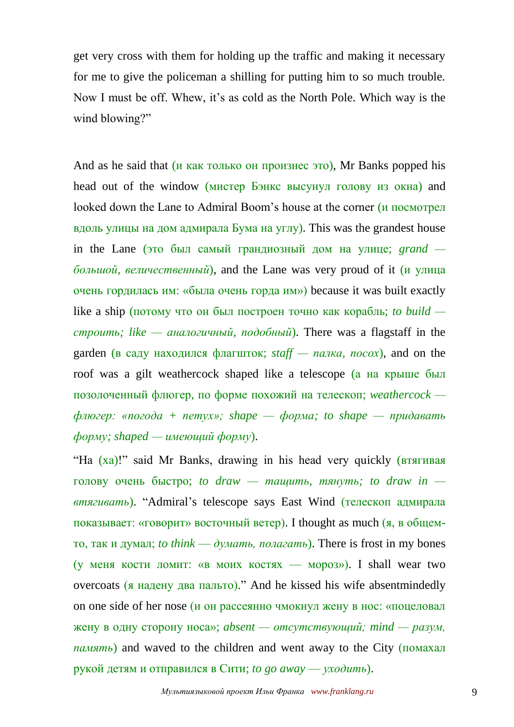get very cross with them for holding up the traffic and making it necessary for me to give the policeman a shilling for putting him to so much trouble. Now I must be off. Whew, it's as cold as the North Pole. Which way is the wind blowing?"

And as he said that  $(u$  как только он произнес это), Mr Banks popped his head out of the window (мистер Бэнкс высунул голову из окна) and looked down the Lane to Admiral Boom's house at the corner (и посмотрел вдоль улицы на дом адмирала Бума на углу). This was the grandest house in the Lane (это был самый грандиозный дом на улице; *grand большой, величественный*), and the Lane was very proud of it (и улица очень гордилась им: «была очень горда им») because it was built exactly like a ship (потому что он был построен точно как корабль; *to build строить; like — аналогичный, подобный*). There was a flagstaff in the garden (в саду находился флагшток; *staff — палка, посох*), and on the roof was a gilt weathercock shaped like a telescope (а на крыше был позолоченный флюгер, по форме похожий на телескоп; *weathercock флюгер: «погода + петух»; shape — форма; to shape — придавать форму; shaped — имеющий форму*).

"Ha (ха)!" said Mr Banks, drawing in his head very quickly (втягивая голову очень быстро; *to draw — тащить, тянуть; to draw in втягивать*). "Admiral's telescope says East Wind (телескоп адмирала показывает: «говорит» восточный ветер). I thought as much (я, в общемто, так и думал; *to think* — *думать, полагать*). There is frost in my bones (у меня кости ломит: «в моих костях — мороз»). I shall wear two overcoats (я надену два пальто)." And he kissed his wife absentmindedly on one side of her nose (и он рассеянно чмокнул жену в нос: «поцеловал жену в одну сторону носа»; *absent — отсутствующий; mind — разум, память*) and waved to the children and went away to the City (помахал рукой детям и отправился в Сити; *to go away* — *уходить*).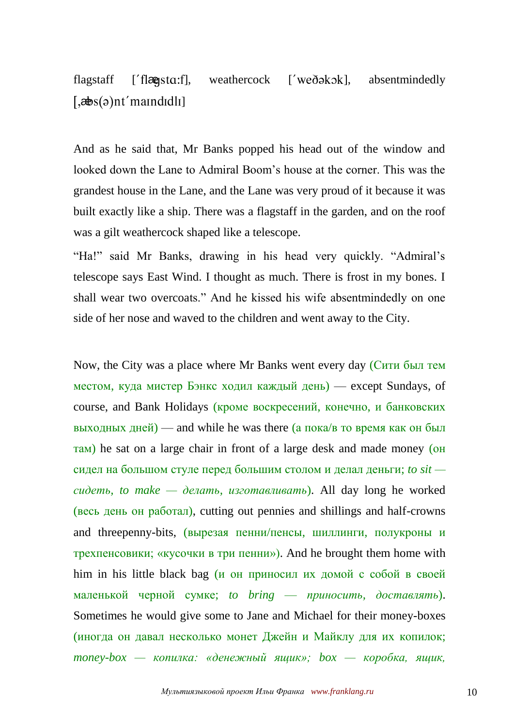flagstaff ['flægsta:f], weathercock ['weðəkək], absentmindedly  $\left[ \frac{1}{2} \mathbf{E} \mathbf{S}(\mathbf{a})$ nt' maindidli]

And as he said that, Mr Banks popped his head out of the window and looked down the Lane to Admiral Boom's house at the corner. This was the grandest house in the Lane, and the Lane was very proud of it because it was built exactly like a ship. There was a flagstaff in the garden, and on the roof was a gilt weathercock shaped like a telescope.

"Ha!" said Mr Banks, drawing in his head very quickly. "Admiral's telescope says East Wind. I thought as much. There is frost in my bones. I shall wear two overcoats." And he kissed his wife absentmindedly on one side of her nose and waved to the children and went away to the City.

Now, the City was a place where Mr Banks went every day (Сити был тем местом, куда мистер Бэнкс ходил каждый день) — except Sundays, of course, and Bank Holidays (кроме воскресений, конечно, и банковских выходных дней) — and while he was there (а пока/в то время как он был там) he sat on a large chair in front of a large desk and made money (он сидел на большом стуле перед большим столом и делал деньги; *to sit сидеть, to make — делать, изготавливать*). All day long he worked (весь день он работал), cutting out pennies and shillings and half-crowns and threepenny-bits, (вырезая пенни/пенсы, шиллинги, полукроны и трехпенсовики; «кусочки в три пенни»). And he brought them home with him in his little black bag (и он приносил их домой с собой в своей маленькой черной сумке; *to bring* — *приносить, доставлять*). Sometimes he would give some to Jane and Michael for their money-boxes (иногда он давал несколько монет Джейн и Майклу для их копилок; *money-box — копилка: «денежный ящик»; box — коробка, ящик,*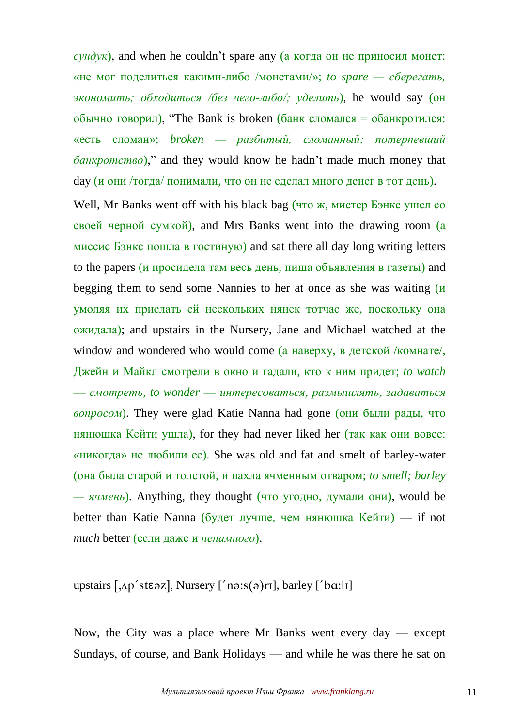$\overline{c}$ *чндук*), and when he couldn't spare any (а когда он не приносил монет: «не мог поделиться какими-либо /монетами/»; *to spare — сберегать, экономить; обходиться /без чего-либо/; уделить*), he would say (он обычно говорил), "The Bank is broken (банк сломался = обанкротился: «есть сломан»; *broken — разбитый, сломанный; потерпевший банкротство*)," and they would know he hadn't made much money that day (и они /тогда/ понимали, что он не сделал много денег в тот день).

Well, Mr Banks went off with his black bag (что ж, мистер Бэнкс ушел со своей черной сумкой), and Mrs Banks went into the drawing room (а миссис Бэнкс пошла в гостиную) and sat there all day long writing letters to the papers (и просидела там весь день, пиша объявления в газеты) and begging them to send some Nannies to her at once as she was waiting (*и* умоляя их прислать ей нескольких нянек тотчас же, поскольку она ожидала); and upstairs in the Nursery, Jane and Michael watched at the window and wondered who would come (а наверху, в детской /комнате/, Джейн и Майкл смотрели в окно и гадали, кто к ним придет; *to watch* — *смотреть*, *to wonder* — *интересоваться, размышлять, задаваться вопросом*). They were glad Katie Nanna had gone (они были рады, что нянюшка Кейти ушла), for they had never liked her (так как они вовсе: «никогда» не любили ее). She was old and fat and smelt of barley-water (она была старой и толстой, и пахла ячменным отваром; *to smell; barley — ячмень*). Anything, they thought (что угодно, думали они), would be better than Katie Nanna (будет лучше, чем нянюшка  $K$ ейти) — if not *much* better (если даже и *ненамного*).

upstairs  $[$ ,  $\Delta p$ ' st $\epsilon$  az], Nursery  $[$ ' na: $s$ (a)ri], barley  $[$ ' b $\alpha$ : $\alpha$ li]

Now, the City was a place where Mr Banks went every day  $-$  except Sundays, of course, and Bank Holidays — and while he was there he sat on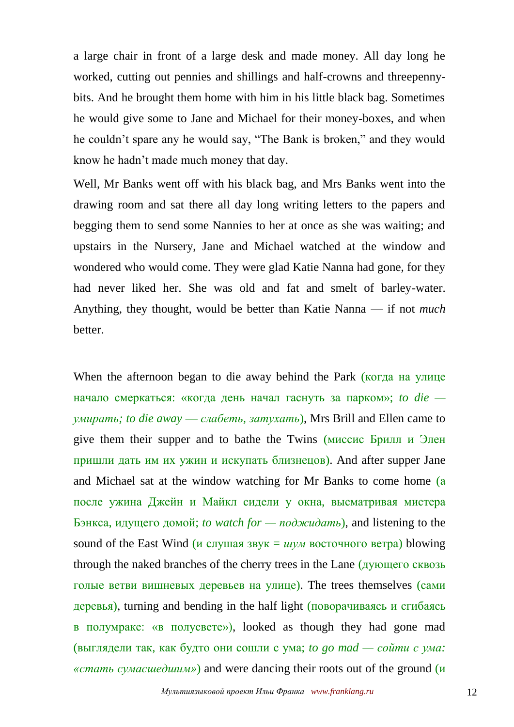a large chair in front of a large desk and made money. All day long he worked, cutting out pennies and shillings and half-crowns and threepennybits. And he brought them home with him in his little black bag. Sometimes he would give some to Jane and Michael for their money-boxes, and when he couldn't spare any he would say, "The Bank is broken," and they would know he hadn't made much money that day.

Well, Mr Banks went off with his black bag, and Mrs Banks went into the drawing room and sat there all day long writing letters to the papers and begging them to send some Nannies to her at once as she was waiting; and upstairs in the Nursery, Jane and Michael watched at the window and wondered who would come. They were glad Katie Nanna had gone, for they had never liked her. She was old and fat and smelt of barley-water. Anything, they thought, would be better than Katie Nanna — if not *much* better.

When the afternoon began to die away behind the Park (когда на улице начало смеркаться: «когда день начал гаснуть за парком»; *to die умирать; to die away* — *слабеть, затухать*), Mrs Brill and Ellen came to give them their supper and to bathe the Twins (миссис Брилл и Элен пришли дать им их ужин и искупать близнецов). And after supper Jane and Michael sat at the window watching for Mr Banks to come home (а после ужина Джейн и Майкл сидели у окна, высматривая мистера Бэнкса, идущего домой; *to watch for — поджидать*), and listening to the sound of the East Wind (*и* слушая звук = *шум* восточного ветра) blowing through the naked branches of the cherry trees in the Lane (дующего сквозь голые ветви вишневых деревьев на улице). The trees themselves (сами деревья), turning and bending in the half light (поворачиваясь и сгибаясь в полумраке: «в полусвете»), looked as though they had gone mad (выглядели так, как будто они сошли с ума; *to go mad — сойти с ума: «стать сумасшедшим»*) and were dancing their roots out of the ground (и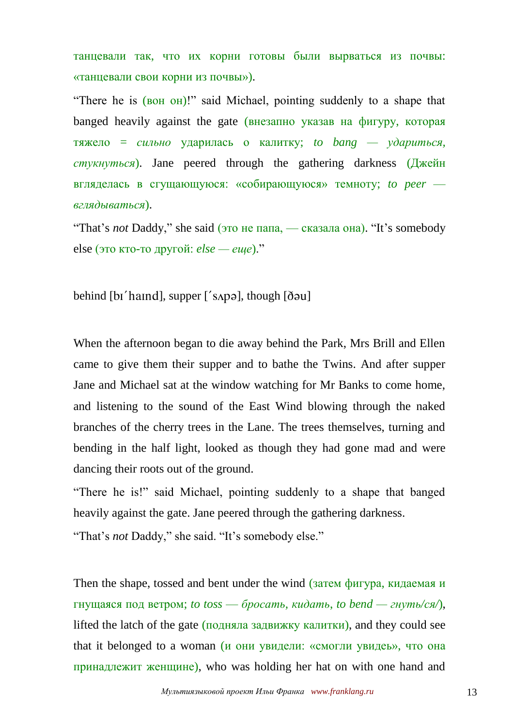танцевали так, что их корни готовы были вырваться из почвы: «танцевали свои корни из почвы»).

"There he is (вон он)!" said Michael, pointing suddenly to a shape that banged heavily against the gate (внезапно указав на фигуру, которая тяжело = *сильно* ударилась о калитку; *to bang — удариться, стукнуться*). Jane peered through the gathering darkness (Джейн вгляделась в сгущающуюся: «собирающуюся» темноту; *to peer вглядываться*).

"That's *not* Daddy," she said (это не папа, — сказала она). "It's somebody else (это кто-то другой: *else — еще*)."

behind  $[$ bi' haind $]$ , supper  $[$ ' sapa $]$ , though  $[$ d $\delta$ au $]$ 

When the afternoon began to die away behind the Park, Mrs Brill and Ellen came to give them their supper and to bathe the Twins. And after supper Jane and Michael sat at the window watching for Mr Banks to come home, and listening to the sound of the East Wind blowing through the naked branches of the cherry trees in the Lane. The trees themselves, turning and bending in the half light, looked as though they had gone mad and were dancing their roots out of the ground.

"There he is!" said Michael, pointing suddenly to a shape that banged heavily against the gate. Jane peered through the gathering darkness.

"That's *not* Daddy," she said. "It's somebody else."

Then the shape, tossed and bent under the wind (затем фигура, кидаемая и гнущаяся под ветром; *to toss* — *бросать, кидать*, *to bend — гнуть/ся/*), lifted the latch of the gate  $(n_{0,1}n_{0,2})$  and they could see lifted the latch of the gate (подняла задвижку калитки), and they could see that it belonged to a woman (и они увидели: «смогли увидеь», что она принадлежит женщине), who was holding her hat on with one hand and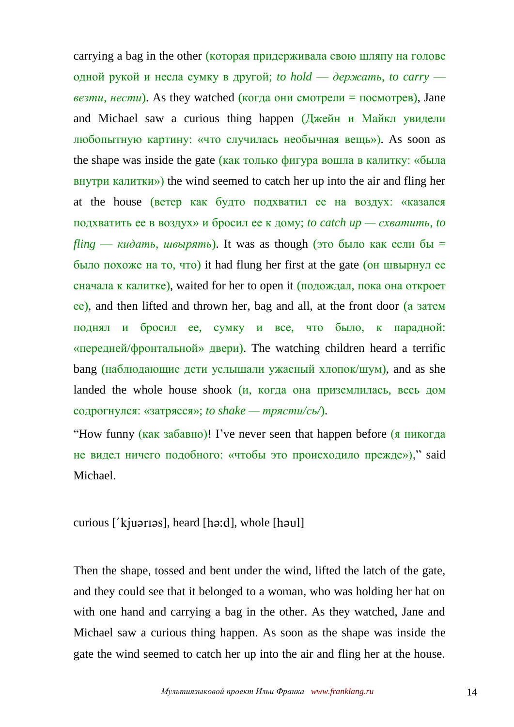carrying a bag in the other (которая придерживала свою шляпу на голове одной рукой и несла сумку в другой; *to hold* — *держать*, *to carry везти, нести*). As they watched (когда они смотрели = посмотрев), Jane and Michael saw a curious thing happen (Джейн и Майкл увидели любопытную картину: «что случилась необычная вещь»). As soon as the shape was inside the gate (как только фигура вошла в калитку: «была внутри калитки») the wind seemed to catch her up into the air and fling her at the house (ветер как будто подхватил ее на воздух: «казался подхватить ее в воздух» и бросил ее к дому; *to catch up — схватить*, *to*   $f\lim g \to \kappa u \partial a m$ , *швырять*). It was as though (это было как если бы = было похоже на то, что) it had flung her first at the gate (он швырнул ее сначала к калитке), waited for her to open it (подождал, пока она откроет ее), and then lifted and thrown her, bag and all, at the front door (а затем поднял и бросил ее, сумку и все, что было, к парадной: «передней/фронтальной» двери). The watching children heard a terrific bang (наблюдающие дети услышали ужасный хлопок/шум), and as she landed the whole house shook  $(u, \kappa)$  когда она приземлилась, весь дом содрогнулся: «затрясся»; *to shake — трясти/сь/*).

"How funny (как забавно)! I've never seen that happen before (я никогда не видел ничего подобного: «чтобы это происходило прежде»)," said Michael.

## curious [' $k$  [  $u$  arries], heard [  $h$  a:  $d$  ], whole [  $h$  aul]

Then the shape, tossed and bent under the wind, lifted the latch of the gate, and they could see that it belonged to a woman, who was holding her hat on with one hand and carrying a bag in the other. As they watched, Jane and Michael saw a curious thing happen. As soon as the shape was inside the gate the wind seemed to catch her up into the air and fling her at the house.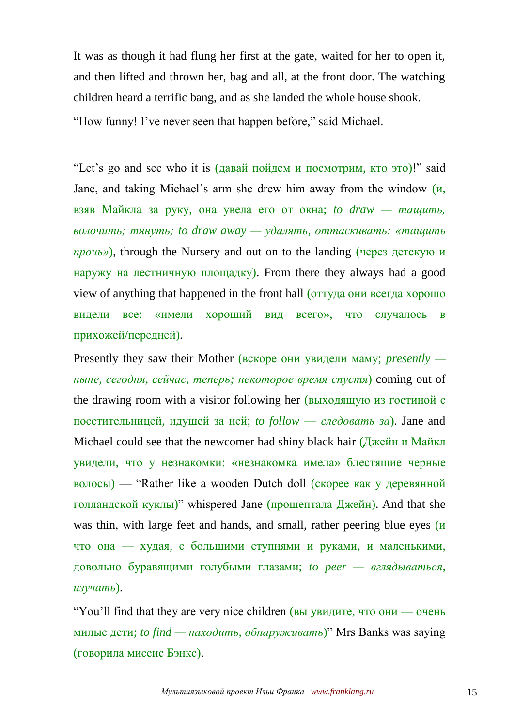It was as though it had flung her first at the gate, waited for her to open it, and then lifted and thrown her, bag and all, at the front door. The watching children heard a terrific bang, and as she landed the whole house shook. "How funny! I've never seen that happen before," said Michael.

"Let's go and see who it is (давай пойдем и посмотрим, кто это)!" said Jane, and taking Michael's arm she drew him away from the window (и, взяв Майкла за руку, она увела его от окна; *to draw — тащить, волочить; тянуть; to draw away — удалять, оттаскивать: «тащить прочь»*), through the Nursery and out on to the landing (через детскую и наружу на лестничную площадку). From there they always had a good view of anything that happened in the front hall (оттуда они всегда хорошо видели все: «имели хороший вид всего», что случалось в прихожей/передней).

Presently they saw their Mother (вскоре они увидели маму; *presently ныне, сегодня, сейчас, теперь; некоторое время спустя*) coming out of the drawing room with a visitor following her (выходящую из гостиной с посетительницей, идущей за ней; *to follow* — *следовать за*). Jane and Michael could see that the newcomer had shiny black hair (Джейн и Майкл увидели, что у незнакомки: «незнакомка имела» блестящие черные волосы) — "Rather like a wooden Dutch doll (скорее как у деревянной голландской куклы)" whispered Jane (прошептала Джейн). And that she was thin, with large feet and hands, and small, rather peering blue eyes (и что она — худая, с большими ступнями и руками, и маленькими, довольно буравящими голубыми глазами; *to peer — вглядываться, изучать*).

"You'll find that they are very nice children (вы увидите, что они — очень милые дети; *to find — находить, обнаруживать*)" Mrs Banks was saying (говорила миссис Бэнкс).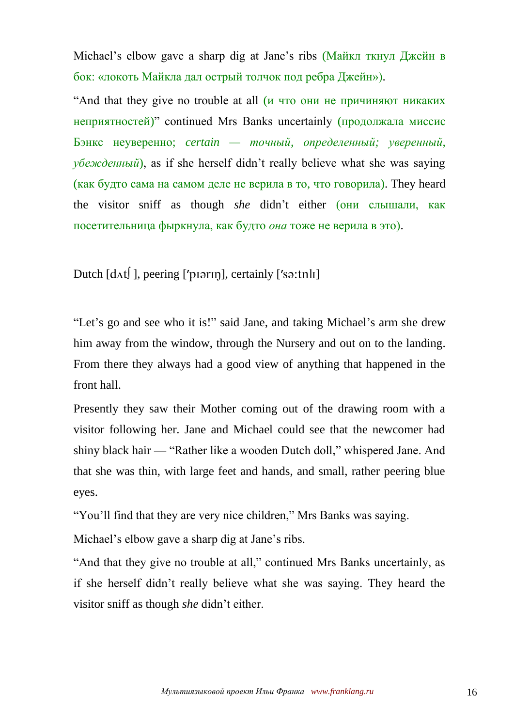Michael's elbow gave a sharp dig at Jane's ribs (Майкл ткнул Джейн в бок: «локоть Майкла дал острый толчок под ребра Джейн»).

"And that they give no trouble at all (и что они не причиняют никаких неприятностей)" continued Mrs Banks uncertainly (продолжала миссис Бэнкс неуверенно; *certain — точный, определенный; уверенный, убежденный*), as if she herself didn't really believe what she was saying (как будто сама на самом деле не верила в то, что говорила). They heard the visitor sniff as though *she* didn't either (они слышали, как посетительница фыркнула, как будто *она* тоже не верила в это).

Dutch  $\left[ d \right)$ , peering ['p[  $\left[$  p[ $\right]$ , certainly  $\left[$ 's $\right)$ ; the  $\left[$ 

"Let's go and see who it is!" said Jane, and taking Michael's arm she drew him away from the window, through the Nursery and out on to the landing. From there they always had a good view of anything that happened in the front hall.

Presently they saw their Mother coming out of the drawing room with a visitor following her. Jane and Michael could see that the newcomer had shiny black hair — "Rather like a wooden Dutch doll," whispered Jane. And that she was thin, with large feet and hands, and small, rather peering blue eyes.

"You'll find that they are very nice children," Mrs Banks was saying.

Michael's elbow gave a sharp dig at Jane's ribs.

"And that they give no trouble at all," continued Mrs Banks uncertainly, as if she herself didn't really believe what she was saying. They heard the visitor sniff as though *she* didn't either.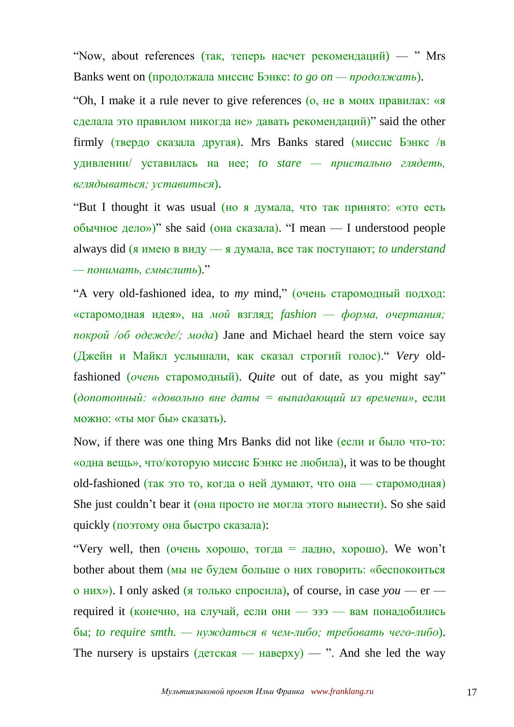"Now, about references (так, теперь насчет рекомендаций) — "Mrs Banks went on (продолжала миссис Бэнкс: *to go on — продолжать*).

"Oh, I make it a rule never to give references (о, не в моих правилах: «я сделала это правилом никогда не» давать рекомендаций)" said the other firmly (твердо сказала другая). Mrs Banks stared (миссис Бэнкс /в удивлении/ уставилась на нее; *to stare — пристально глядеть, вглядываться; уставиться*).

"But I thought it was usual (но я думала, что так принято: «это есть обычное дело»)" she said (она сказала). "I mean — I understood people always did (я имею в виду — я думала, все так поступают; *to understand — понимать, смыслить*)."

"A very old-fashioned idea, to *my* mind," (очень старомодный подход: «старомодная идея», на *мой* взгляд; *fashion — форма, очертания; покрой /об одежде/; мода*) Jane and Michael heard the stern voice say (Джейн и Майкл услышали, как сказал строгий голос)." *Very* oldfashioned (*очень* старомодный). *Quite* out of date, as you might say" (*допотопный: «довольно вне даты = выпадающий из времени»,* если можно: «ты мог бы» сказать).

Now, if there was one thing Mrs Banks did not like (если и было что-то: «одна вещь», что/которую миссис Бэнкс не любила), it was to be thought old-fashioned (так это то, когда о ней думают, что она — старомодная) She just couldn't bear it (она просто не могла этого вынести). So she said quickly (поэтому она быстро сказала):

"Very well, then ( $o$ чень хорошо, тогда = ладно, хорошо). We won't bother about them (мы не будем больше о них говорить: «беспокоиться о них»). I only asked (я только спросила), of course, in case *you* — er required it (конечно, на случай, если они — эээ — вам понадобились бы; *to require smth. — нуждаться в чем-либо; требовать чего-либо*). The nursery is upstairs  $(\text{qercka} - \text{Hae} \text{pxy}) -$ ". And she led the way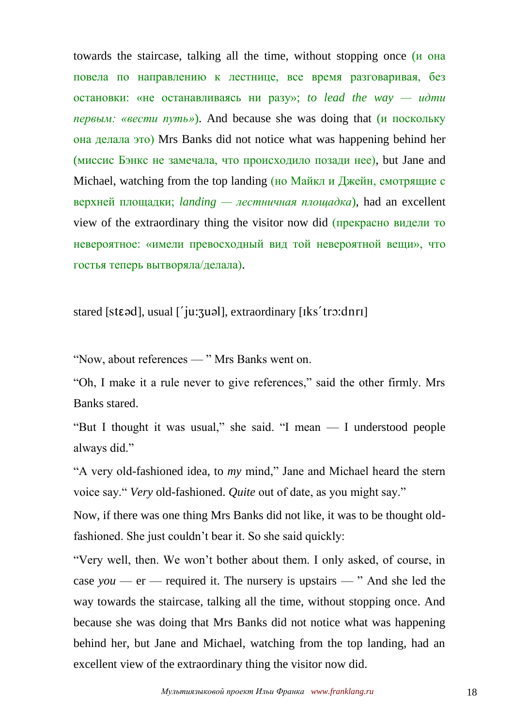towards the staircase, talking all the time, without stopping once (и она повела по направлению к лестнице, все время разговаривая, без остановки: «не останавливаясь ни разу»; *to lead the way — идти первым: «вести путь»*). And because she was doing that (и поскольку она делала это) Mrs Banks did not notice what was happening behind her (миссис Бэнкс не замечала, что происходило позади нее), but Jane and Michael, watching from the top landing (но Майкл и Джейн, смотрящие с верхней площадки; *landing — лестничная площадка*), had an excellent view of the extraordinary thing the visitor now did (прекрасно видели то невероятное: «имели превосходный вид той невероятной вещи», что гостья теперь вытворяла/делала).

stared [stɛəd], usual ['ju: 3uəl], extraordinary [Iks' tro: dnrI]

"Now, about references — " Mrs Banks went on.

"Oh, I make it a rule never to give references," said the other firmly. Mrs Banks stared.

"But I thought it was usual," she said. "I mean — I understood people always did."

"A very old-fashioned idea, to *my* mind," Jane and Michael heard the stern voice say." *Very* old-fashioned. *Quite* out of date, as you might say."

Now, if there was one thing Mrs Banks did not like, it was to be thought oldfashioned. She just couldn't bear it. So she said quickly:

"Very well, then. We won't bother about them. I only asked, of course, in case *you* — er — required it. The nursery is upstairs — " And she led the way towards the staircase, talking all the time, without stopping once. And because she was doing that Mrs Banks did not notice what was happening behind her, but Jane and Michael, watching from the top landing, had an excellent view of the extraordinary thing the visitor now did.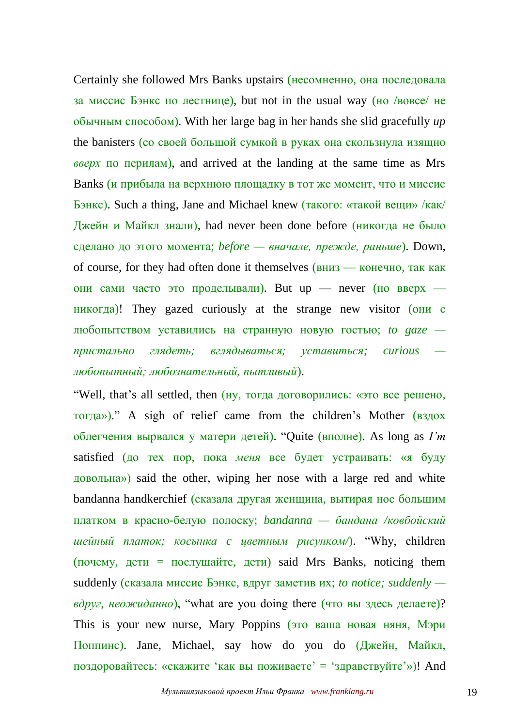Certainly she followed Mrs Banks upstairs (несомненно, она последовала за миссис Бэнкс по лестнице), but not in the usual way (но /вовсе/ не обычным способом). With her large bag in her hands she slid gracefully *up* the banisters (со своей большой сумкой в руках она скользнула изящно *вверх* по перилам), and arrived at the landing at the same time as Mrs Banks (и прибыла на верхнюю площадку в тот же момент, что и миссис Бэнкс). Such a thing, Jane and Michael knew (такого: «такой вещи» /как/ Джейн и Майкл знали), had never been done before (никогда не было сделано до этого момента; *before — вначале, прежде, раньше*). Down, of course, for they had often done it themselves (вниз — конечно, так как они сами часто это проделывали). But up — never (но вверх никогда)! They gazed curiously at the strange new visitor (они с любопытством уставились на странную новую гостью; *to gaze пристально глядеть; вглядываться; уставиться; curious любопытный; любознательный, пытливый*).

"Well, that's all settled, then (ну, тогда договорились: «это все решено, тогда»)." A sigh of relief came from the children's Mother (вздох облегчения вырвался у матери детей). "Quite (вполне). As long as *I'm* satisfied (до тех пор, пока *меня* все будет устраивать: «я буду довольна») said the other, wiping her nose with a large red and white bandanna handkerchief (сказала другая женщина, вытирая нос большим платком в красно-белую полоску; *bandanna — бандана /ковбойский шейный платок; косынка c цветным рисунком/*). "Why, children  $(no$ чему, дети = послушайте, дети) said Mrs Banks, noticing them suddenly (сказала миссис Бэнкс, вдруг заметив их; *to notice; suddenly вдруг, неожиданно*), "what are you doing there (что вы здесь делаете)? This is your new nurse, Mary Poppins (это ваша новая няня, Мэри Поппинс). Jane, Michael, say how do you do (Джейн, Майкл, поздоровайтесь: «скажите 'как вы поживаете' = 'здравствуйте'»)! And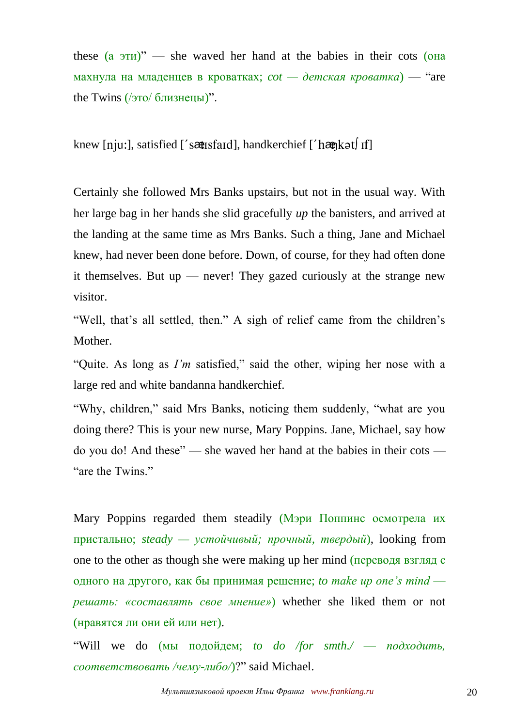these  $(a \text{ } \partial \text{ } T_H)$ <sup>"</sup> — she waved her hand at the babies in their cots ( $\partial$ Ha махнула на младенцев в кроватках; *cot — детская кроватка*) — "are the Twins  $(1)$ это $(1)$  близнецы)".

knew [nju:], satisfied ['s  $\alpha$ usfard], handkerchief ['h $\alpha$ ngkət] If]

Certainly she followed Mrs Banks upstairs, but not in the usual way. With her large bag in her hands she slid gracefully *up* the banisters, and arrived at the landing at the same time as Mrs Banks. Such a thing, Jane and Michael knew, had never been done before. Down, of course, for they had often done it themselves. But up — never! They gazed curiously at the strange new visitor.

"Well, that's all settled, then." A sigh of relief came from the children's Mother.

"Quite. As long as *I'm* satisfied," said the other, wiping her nose with a large red and white bandanna handkerchief.

"Why, children," said Mrs Banks, noticing them suddenly, "what are you doing there? This is your new nurse, Mary Poppins. Jane, Michael, say how do you do! And these" — she waved her hand at the babies in their cots — "are the Twins."

Mary Poppins regarded them steadily (Мэри Поппинс осмотрела их пристально; *steady — устойчивый; прочный, твердый*), looking from one to the other as though she were making up her mind (переводя взгляд с одного на другого, как бы принимая решение; *to make up one's mind решать: «составлять свое мнение»*) whether she liked them or not (нравятся ли они ей или нет).

"Will we do (мы подойдем; *to do /for smth./* — *подходить, соответствовать /чему-либо/*)?" said Michael.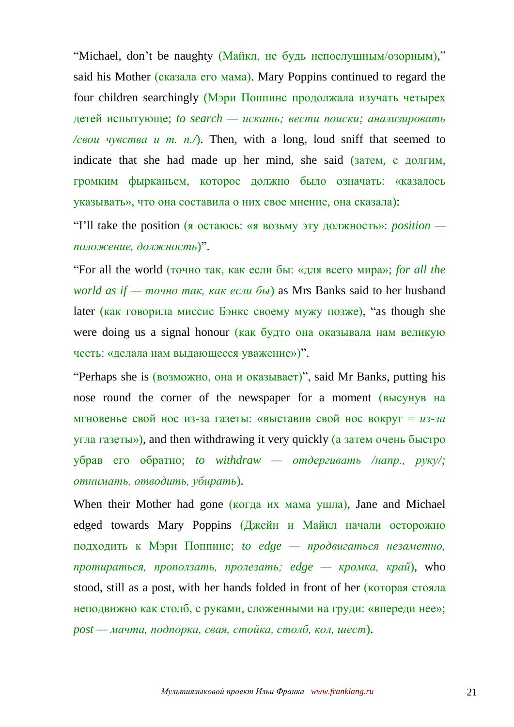"Michael, don't be naughty (Майкл, не будь непослушным/озорным)," said his Mother (сказала его мама). Mary Poppins continued to regard the four children searchingly (Мэри Поппинс продолжала изучать четырех детей испытующе; *to search — искать; вести поиски; анализировать /свои чувства и т. n./*). Then, with a long, loud sniff that seemed to indicate that she had made up her mind, she said (затем, с долгим, громким фырканьем, которое должно было означать: «казалось указывать», что она составила о них свое мнение, она сказала):

"I'll take the position (я остаюсь: «я возьму эту должность»: *position положение, должность*)".

"For all the world (точно так, как если бы: «для всего мира»; *for all the world as if — точно так, как если бы*) as Mrs Banks said to her husband later (как говорила миссис Бэнкс своему мужу позже), "as though she were doing us a signal honour (как будто она оказывала нам великую честь: «делала нам выдающееся уважение»)".

"Perhaps she is (возможно, она и оказывает)", said Mr Banks, putting his nose round the corner of the newspaper for a moment (высунув на мгновенье свой нос из-за газеты: «выставив свой нос вокруг = *из-за* угла газеты»), and then withdrawing it very quickly (а затем очень быстро убрав его обратно; *to withdraw — отдергивать /напр., руку/; отнимать, отводить, убирать*).

When their Mother had gone (когда их мама ушла), Jane and Michael edged towards Mary Poppins (Джейн и Майкл начали осторожно подходить к Мэри Поппинс; *to edge — продвигаться незаметно, протираться, проползать, пролезать; edge — кромка, край*), who stood, still as a post, with her hands folded in front of her (которая стояла неподвижно как столб, с руками, сложенными на груди: «впереди нее»; *post — мачта, подпорка, свая, стойка, столб, кол, шест*).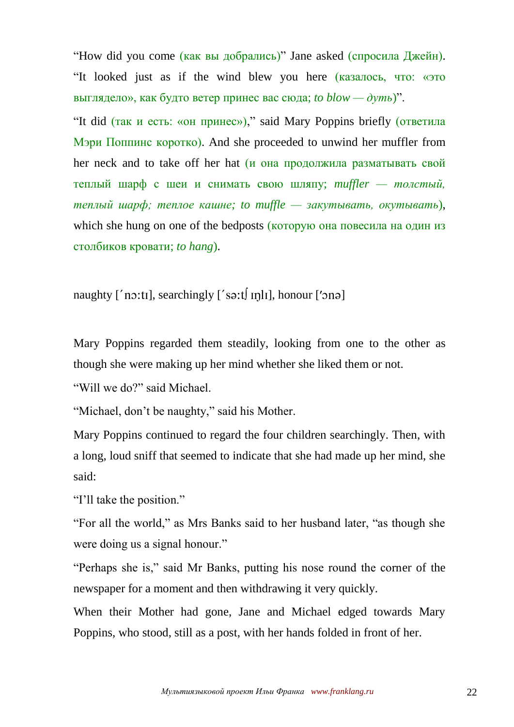"How did you come (как вы добрались)" Jane asked (спросила Джейн). "It looked just as if the wind blew you here (казалось, что: «это выглядело», как будто ветер принес вас сюда; *to blow — дуть*)".

"It did (так и есть: «он принес»)," said Mary Poppins briefly (ответила Мэри Поппинс коротко). And she proceeded to unwind her muffler from her neck and to take off her hat (и она продолжила разматывать свой теплый шарф с шеи и снимать свою шляпу; *muffler — толстый, теплый шарф; теплое кашне; to muffle — закутывать, окутывать*), which she hung on one of the bedposts (которую она повесила на один из столбиков кровати; *to hang*).

naughty  $\lceil$  'no:til, searchingly  $\lceil$  'so:t $\lceil$  in  $\lceil$ , honour  $\lceil$  'on  $\lceil$ 

Mary Poppins regarded them steadily, looking from one to the other as though she were making up her mind whether she liked them or not.

"Will we do?" said Michael.

"Michael, don't be naughty," said his Mother.

Mary Poppins continued to regard the four children searchingly. Then, with a long, loud sniff that seemed to indicate that she had made up her mind, she said:

"I'll take the position."

"For all the world," as Mrs Banks said to her husband later, "as though she were doing us a signal honour."

"Perhaps she is," said Mr Banks, putting his nose round the corner of the newspaper for a moment and then withdrawing it very quickly.

When their Mother had gone, Jane and Michael edged towards Mary Poppins, who stood, still as a post, with her hands folded in front of her.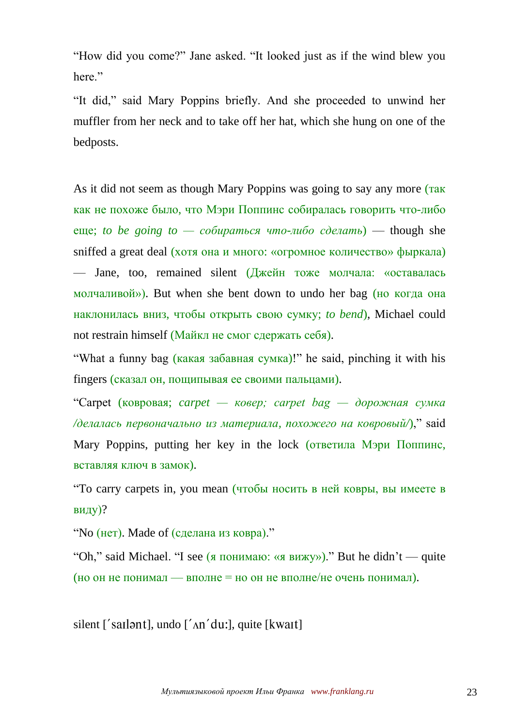"How did you come?" Jane asked. "It looked just as if the wind blew you here."

"It did," said Mary Poppins briefly. And she proceeded to unwind her muffler from her neck and to take off her hat, which she hung on one of the bedposts.

As it did not seem as though Mary Poppins was going to say any more (так как не похоже было, что Мэри Поппинс собиралась говорить что-либо еще; *to be going to — собираться что-либо сделать*) — though she sniffed a great deal (хотя она и много: «огромное количество» фыркала) — Jane, too, remained silent (Джейн тоже молчала: «оставалась молчаливой»). But when she bent down to undo her bag (но когда она наклонилась вниз, чтобы открыть свою сумку; *to bend*), Michael could not restrain himself (Майкл не смог сдержать себя).

"What a funny bag (какая забавная сумка)!" he said, pinching it with his fingers (сказал он, пощипывая ее своими пальцами).

"Carpet (ковровая; *carpet — ковер; carpet bag — дорожная сумка /делалась первоначально из материала, похожего на ковровый/*)," said Mary Poppins, putting her key in the lock (ответила Мэри Поппинс, вставляя ключ в замок).

"To carry carpets in, you mean (чтобы носить в ней ковры, вы имеете в виду)?

"No (нет). Made of (сделана из ковра)."

"Oh," said Michael. "I see (я понимаю: «я вижу»)." But he didn't — quite (но он не понимал — вполне = но он не вполне/не очень понимал).

silent ['sail ant], undo  $\lceil \Delta n' \, du \rceil$ , quite [kwait]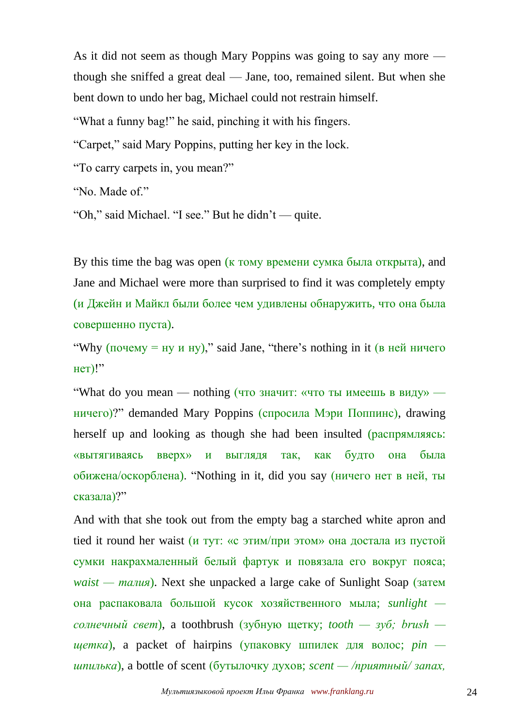As it did not seem as though Mary Poppins was going to say any more though she sniffed a great deal — Jane, too, remained silent. But when she bent down to undo her bag, Michael could not restrain himself.

"What a funny bag!" he said, pinching it with his fingers.

"Carpet," said Mary Poppins, putting her key in the lock.

"To carry carpets in, you mean?"

"No. Made of."

"Oh," said Michael. "I see." But he didn't — quite.

By this time the bag was open (к тому времени сумка была открыта), and Jane and Michael were more than surprised to find it was completely empty (и Джейн и Майкл были более чем удивлены обнаружить, что она была совершенно пуста).

"Why (почему = ну и ну)," said Jane, "there's nothing in it (в ней ничего нет)!"

"What do you mean — nothing (что значит: «что ты имеешь в виду» ничего)?" demanded Mary Poppins (спросила Мэри Поппинс), drawing herself up and looking as though she had been insulted (распрямляясь: «вытягиваясь вверх» и выглядя так, как будто она была обижена/оскорблена). "Nothing in it, did you say (ничего нет в ней, ты сказала)?"

And with that she took out from the empty bag a starched white apron and tied it round her waist (и тут: «с этим/при этом» она достала из пустой сумки накрахмаленный белый фартук и повязала его вокруг пояса; *waist — талия*). Next she unpacked a large cake of Sunlight Soap (затем она распаковала большой кусок хозяйственного мыла; *sunlight солнечный свет*), a toothbrush (зубную щетку; *tooth — зуб; brush щетка*), a packet of hairpins (упаковку шпилек для волос; *pin шпилька*), a bottle of scent (бутылочку духов; *scent — /приятный/ запах,*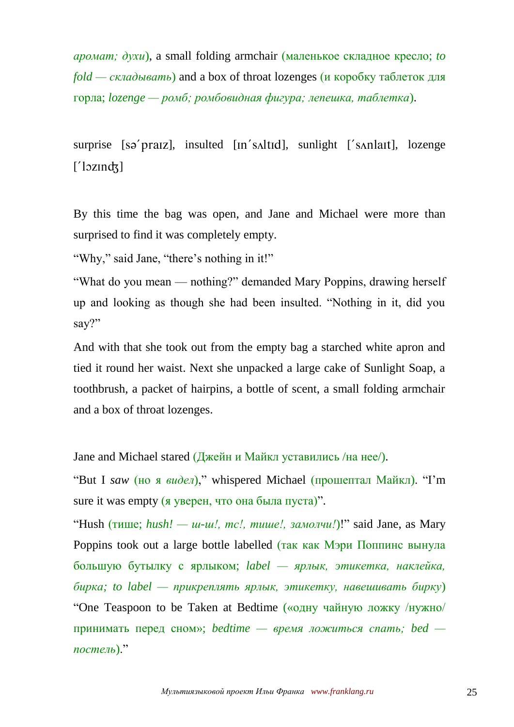*аромат; духи*), a small folding armchair (маленькое складное кресло; *to fold — складывать*) and a box of throat lozenges (и коробку таблеток для горла; *lozenge — ромб; ромбовидная фигура; лепешка, таблетка*).

surprise [sə'praiz], insulted [in's altid], sunlight ['s and ant], lozenge  $[$ ' $\sqrt{2}$ lozindz $\sqrt{2}$ ]

By this time the bag was open, and Jane and Michael were more than surprised to find it was completely empty.

"Why," said Jane, "there's nothing in it!"

"What do you mean — nothing?" demanded Mary Poppins, drawing herself up and looking as though she had been insulted. "Nothing in it, did you say?"

And with that she took out from the empty bag a starched white apron and tied it round her waist. Next she unpacked a large cake of Sunlight Soap, a toothbrush, a packet of hairpins, a bottle of scent, a small folding armchair and a box of throat lozenges.

Jane and Michael stared (Джейн и Майкл уставились /на нее/).

"But I *saw* (но я *видел*)," whispered Michael (прошептал Майкл). "I'm sure it was empty (я уверен, что она была пуста)".

"Hush (тише; *hush! — ш-ш!, тс!, тише!, замолчи!*)!" said Jane, as Mary Poppins took out a large bottle labelled (так как Мэри Поппинс вынула большую бутылку с ярлыком; *label — ярлык, этикетка, наклейка, бирка; to label — прикреплять ярлык, этикетку, навешивать бирку*) "One Teaspoon to be Taken at Bedtime («одну чайную ложку /нужно/ принимать перед сном»; *bedtime — время ложиться спать; bed постель*)."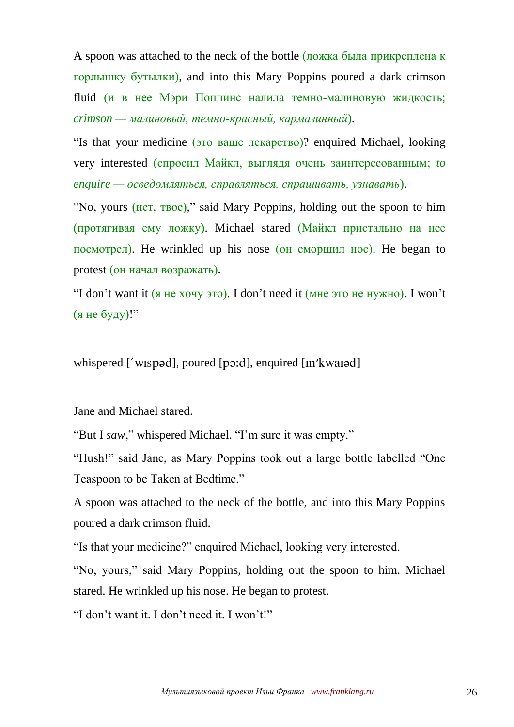A spoon was attached to the neck of the bottle (ложка была прикреплена к горлышку бутылки), and into this Mary Poppins poured a dark crimson fluid (и в нее Мэри Поппинс налила темно-малиновую жидкость; *crimson — малиновый, темно-красный, кармазинный*).

"Is that your medicine (это ваше лекарство)? enquired Michael, looking very interested (спросил Майкл, выглядя очень заинтересованным; *to enquire — осведомляться, справляться, спрашивать, узнавать*).

"No, yours (нет, твое)," said Mary Poppins, holding out the spoon to him (протягивая ему ложку). Michael stared (Майкл пристально на нее посмотрел). He wrinkled up his nose (он сморщил нос). He began to protest (он начал возражать).

"I don't want it (я не хочу это). I don't need it (мне это не нужно). I won't (я не буду)!"

whispered  $\lceil$ ' wispad], poured  $\lceil$ po:d], enquired  $\lceil$  [In' kwai ad]

Jane and Michael stared.

"But I *saw*," whispered Michael. "I'm sure it was empty."

"Hush!" said Jane, as Mary Poppins took out a large bottle labelled "One Teaspoon to be Taken at Bedtime."

A spoon was attached to the neck of the bottle, and into this Mary Poppins poured a dark crimson fluid.

"Is that your medicine?" enquired Michael, looking very interested.

"No, yours," said Mary Poppins, holding out the spoon to him. Michael stared. He wrinkled up his nose. He began to protest.

"I don't want it. I don't need it. I won't!"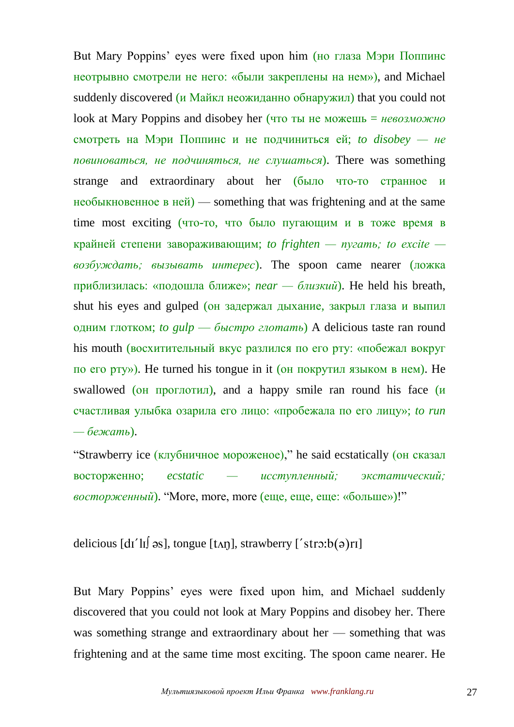But Mary Poppins' eyes were fixed upon him (но глаза Мэри Поппинс неотрывно смотрели не него: «были закреплены на нем»), and Michael suddenly discovered (и Майкл неожиданно обнаружил) that you could not look at Mary Poppins and disobey her (что ты не можешь = *невозможно* смотреть на Мэри Поппинс и не подчиниться ей; *to disobey — не повиноваться, не подчиняться, не слушаться*). There was something strange and extraordinary about her (было что-то странное и необыкновенное в ней) — something that was frightening and at the same time most exciting (что-то, что было пугающим и в тоже время в крайней степени завораживающим; *to frighten — пугать; to excite возбуждать; вызывать интерес*). The spoon came nearer (ложка приблизилась: «подошла ближе»; *near — близкий*). He held his breath, shut his eyes and gulped (он задержал дыхание, закрыл глаза и выпил одним глотком; *to gulp* — *быстро глотать*) A delicious taste ran round his mouth (восхитительный вкус разлился по его рту: «побежал вокруг по его рту»). He turned his tongue in it (он покрутил языком в нем). He swallowed (он проглотил), and a happy smile ran round his face (и счастливая улыбка озарила его лицо: «пробежала по его лицу»; *to run — бежать*).

"Strawberry ice (клубничное мороженое)," he said ecstatically (он сказал восторженно; *ecstatic — исступленный; экстатический; восторженный*). "More, more, more (еще, еще, еще: «больше»)!"

delicious  $\left[ d\right]$   $\left[ d\right]$   $\left[ d\right]$ , tongue  $\left[ \left[ \text{Ln} \right] \right]$ , strawberry  $\left[ \text{Lm} \right]$   $\left[ \text{Lm} \right]$ 

But Mary Poppins' eyes were fixed upon him, and Michael suddenly discovered that you could not look at Mary Poppins and disobey her. There was something strange and extraordinary about her — something that was frightening and at the same time most exciting. The spoon came nearer. He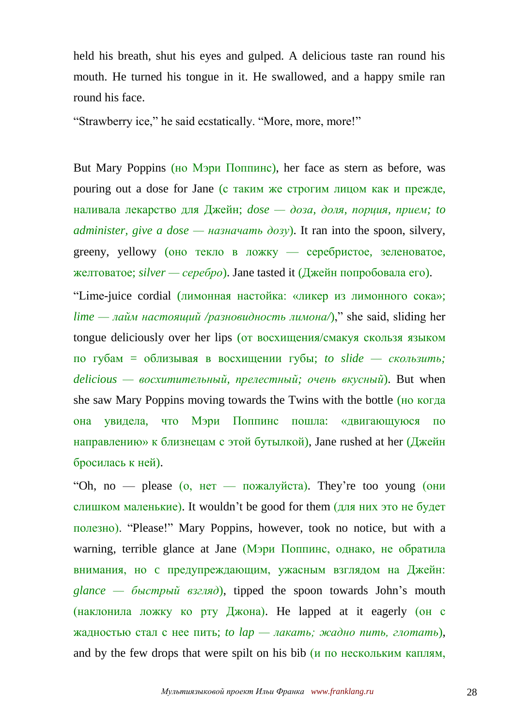held his breath, shut his eyes and gulped. A delicious taste ran round his mouth. He turned his tongue in it. He swallowed, and a happy smile ran round his face.

"Strawberry ice," he said ecstatically. "More, more, more!"

But Mary Poppins (но Мэри Поппинс), her face as stern as before, was pouring out a dose for Jane (с таким же строгим лицом как и прежде, наливала лекарство для Джейн; *dose — доза, доля, порция, прием; to administer, give a dose — назначать дозу*). It ran into the spoon, silvery, greeny, yellowy (оно текло в ложку — серебристое, зеленоватое, желтоватое; *silver — серебро*). Jane tasted it (Джейн попробовала его).

"Lime-juice cordial (лимонная настойка: «ликер из лимонного сока»; *lime — лайм настоящий /разновидность лимона/*)," she said, sliding her tongue deliciously over her lips (от восхищения/смакуя скользя языком по губам = облизывая в восхищении губы; *to slide — скользить; delicious — восхитительный, прелестный; очень вкусный*). But when she saw Mary Poppins moving towards the Twins with the bottle (но когда она увидела, что Мэри Поппинс пошла: «двигающуюся по направлению» к близнецам с этой бутылкой), Jane rushed at her  $(\frac{\pi}{4}m\epsilon)$ бросилась к ней).

"Oh, no — please (о, нет — пожалуйста). They're too young (они слишком маленькие). It wouldn't be good for them (для них это не будет полезно). "Please!" Mary Poppins, however, took no notice, but with a warning, terrible glance at Jane (Мэри Поппинс, однако, не обратила внимания, но c предупреждающим, ужасным взглядом на Джейн: *glance — быстрый взгляд*), tipped the spoon towards John's mouth (наклонила ложку ко рту Джона). He lapped at it eagerly (он с жадностью стал с нее пить; *to lap — лакать; жадно пить, глотать*), and by the few drops that were spilt on his bib  $(\mu$  по нескольким каплям,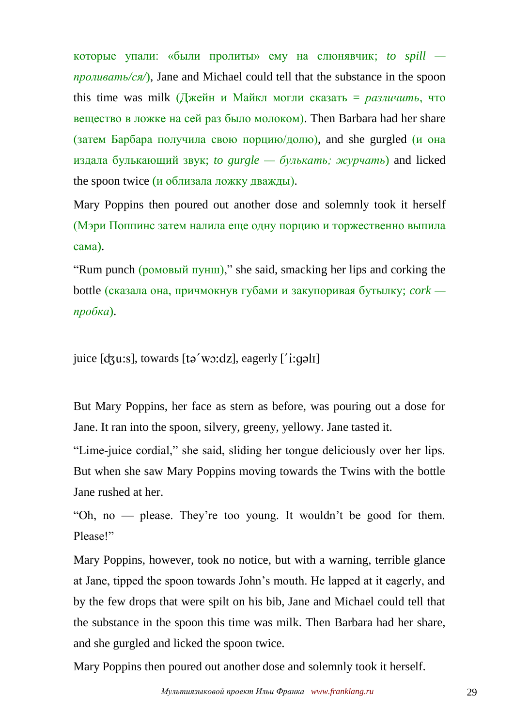которые упали: «были пролиты» ему на слюнявчик; *to spill проливать/ся/*), Jane and Michael could tell that the substance in the spoon this time was milk (Джейн и Майкл могли сказать = *различить*, что вещество в ложке на сей раз было молоком). Then Barbara had her share (затем Барбара получила свою порцию/долю), and she gurgled (и она издала булькающий звук; *to gurgle — булькать; журчать*) and licked the spoon twice (и облизала ложку дважды).

Mary Poppins then poured out another dose and solemnly took it herself (Мэри Поппинс затем налила еще одну порцию и торжественно выпила сама).

"Rum punch (ромовый пунш)," she said, smacking her lips and corking the bottle (сказала она, причмокнув губами и закупоривая бутылку; *cork пробка*).

juice  $[d_3u:s]$ , towards  $[t_2'w_3:d_2]$ , eagerly  $[i:q_2d_1]$ 

But Mary Poppins, her face as stern as before, was pouring out a dose for Jane. It ran into the spoon, silvery, greeny, yellowy. Jane tasted it.

"Lime-juice cordial," she said, sliding her tongue deliciously over her lips. But when she saw Mary Poppins moving towards the Twins with the bottle Jane rushed at her.

"Oh, no — please. They're too young. It wouldn't be good for them. Please!"

Mary Poppins, however, took no notice, but with a warning, terrible glance at Jane, tipped the spoon towards John's mouth. He lapped at it eagerly, and by the few drops that were spilt on his bib, Jane and Michael could tell that the substance in the spoon this time was milk. Then Barbara had her share, and she gurgled and licked the spoon twice.

Mary Poppins then poured out another dose and solemnly took it herself.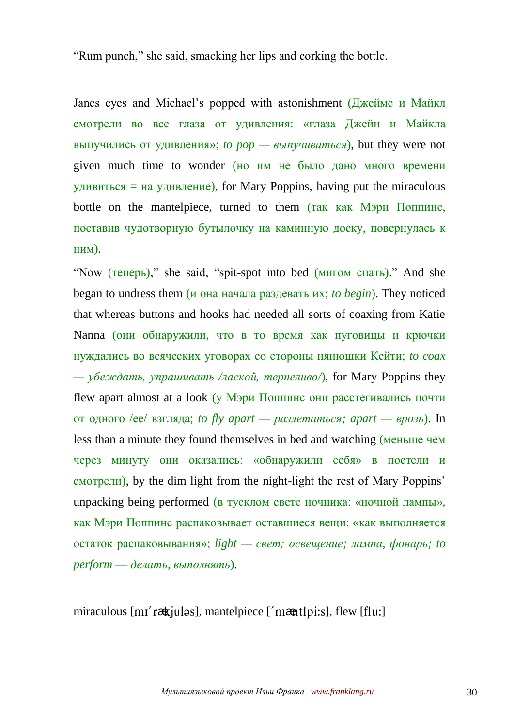"Rum punch," she said, smacking her lips and corking the bottle.

Janes eyes and Michael's popped with astonishment (Джеймс и Майкл смотрели во все глаза от удивления: «глаза Джейн и Майкла выпучились от удивления»; *to pop — выпучиваться*), but they were not given much time to wonder (но им не было дано много времени удивиться = на удивление), for Mary Poppins, having put the miraculous bottle on the mantelpiece, turned to them (так как Мэри Поппинс, поставив чудотворную бутылочку на каминную доску, повернулась к ним).

"Now (теперь)," she said, "spit-spot into bed (мигом спать)." And she began to undress them (и она начала раздевать их; *to begin*). They noticed that whereas buttons and hooks had needed all sorts of coaxing from Katie Nanna (они обнаружили, что в то время как пуговицы и крючки нуждались во всяческих уговорах со стороны нянюшки Кейти; *to coax*   $-\gamma$ беждать, упрашивать /лаской, терпеливо/), for Mary Poppins they flew apart almost at a look (у Мэри Поппинс они расстегивались почти от одного /ее/ взгляда; *to fly apart — разлетаться; apart — врозь*). In less than a minute they found themselves in bed and watching (меньше чем через минуту они оказались: «обнаружили себя» в постели и смотрели), by the dim light from the night-light the rest of Mary Poppins' unpacking being performed (в тусклом свете ночника: «ночной лампы», как Мэри Поппинс распаковывает оставшиеся вещи: «как выполняется остаток распаковывания»; *light — свет; освещение; лампа, фонарь; to perform* — *делать, выполнять*).

miraculous [m1'raxtiulas], mantelpiece ['maxtlpi:s], flew [flu:]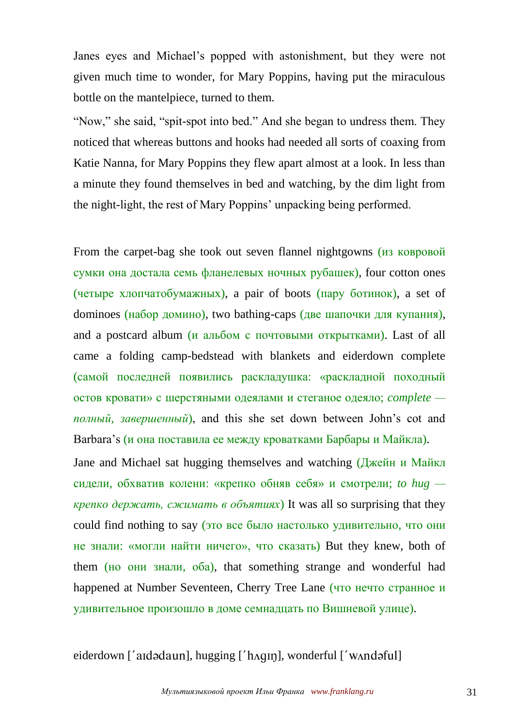Janes eyes and Michael's popped with astonishment, but they were not given much time to wonder, for Mary Poppins, having put the miraculous bottle on the mantelpiece, turned to them.

"Now," she said, "spit-spot into bed." And she began to undress them. They noticed that whereas buttons and hooks had needed all sorts of coaxing from Katie Nanna, for Mary Poppins they flew apart almost at a look. In less than a minute they found themselves in bed and watching, by the dim light from the night-light, the rest of Mary Poppins' unpacking being performed.

From the carpet-bag she took out seven flannel nightgowns (из ковровой сумки она достала семь фланелевых ночных рубашек), four cotton ones (четыре хлопчатобумажных), a pair of boots (пару ботинок), a set of dominoes (набор домино), two bathing-caps (две шапочки для купания), and a postcard album (и альбом с почтовыми открытками). Last of all came a folding camp-bedstead with blankets and eiderdown complete (самой последней появились раскладушка: «раскладной походный остов кровати» с шерстяными одеялами и стеганое одеяло; *complete полный, завершенный*), and this she set down between John's cot and Barbara's (и она поставила ее между кроватками Барбары и Майкла).

Jane and Michael sat hugging themselves and watching (Джейн и Майкл сидели, обхватив колени: «крепко обняв себя» и смотрели; *to hug крепко держать, сжимать в объятиях*) It was all so surprising that they could find nothing to say (это все было настолько удивительно, что они не знали: «могли найти ничего», что сказать) But they knew, both of them (но они знали, оба), that something strange and wonderful had happened at Number Seventeen, Cherry Tree Lane (что нечто странное и удивительное произошло в доме семнадцать по Вишневой улице).

eiderdown ['aidədaun], hugging ['h $\alpha$ qin], wonderful ['w $\alpha$ ndəful]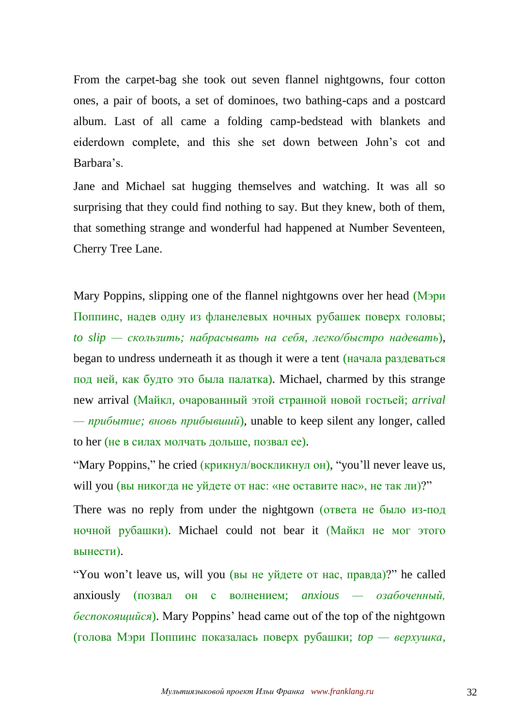From the carpet-bag she took out seven flannel nightgowns, four cotton ones, a pair of boots, a set of dominoes, two bathing-caps and a postcard album. Last of all came a folding camp-bedstead with blankets and eiderdown complete, and this she set down between John's cot and Barbara's.

Jane and Michael sat hugging themselves and watching. It was all so surprising that they could find nothing to say. But they knew, both of them, that something strange and wonderful had happened at Number Seventeen, Cherry Tree Lane.

Mary Poppins, slipping one of the flannel nightgowns over her head (Мэри Поппинс, надев одну из фланелевых ночных рубашек поверх головы; *to slip — скользить; набрасывать на себя, легко/быстро надевать*), began to undress underneath it as though it were a tent (начала раздеваться под ней, как будто это была палатка). Michael, charmed by this strange new arrival (Майкл, очарованный этой странной новой гостьей; *arrival — прибытие; вновь прибывший*), unable to keep silent any longer, called to her (не в силах молчать дольше, позвал ее).

"Mary Poppins," he cried (крикнул/воскликнул он), "you'll never leave us, will you (вы никогда не уйдете от нас: «не оставите нас», не так ли)?"

There was no reply from under the nightgown (ответа не было из-под ночной рубашки). Michael could not bear it (Майкл не мог этого вынести).

"You won't leave us, will you (вы не уйдете от нас, правда)?" he called anxiously (позвал он с волнением; *anxious — озабоченный, беспокоящийся*). Mary Poppins' head came out of the top of the nightgown (голова Мэри Поппинс показалась поверх рубашки; *top — верхушка,*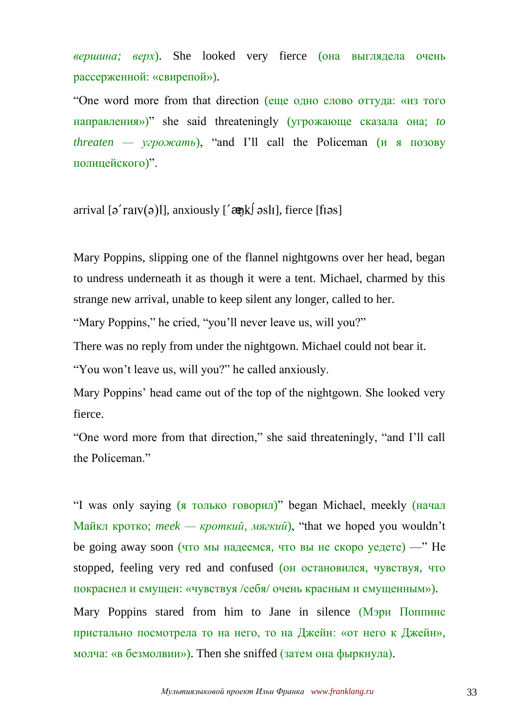*вершина; верх*). She looked very fierce (она выглядела очень рассерженной: «свирепой»).

"One word more from that direction (еще одно слово оттуда: «из того направления»)" she said threateningly (угрожающе сказала она; *to threaten — угрожать*), "and I'll call the Policeman (и я позову полицейского)".

arrival  $\lceil \frac{\alpha}{2} \rceil$  anxiously  $\lceil \frac{\alpha}{2} \rceil$  and  $\lceil \frac{\alpha}{2} \rceil$ , fierce  $\lceil \frac{\beta}{2} \rceil$ 

Mary Poppins, slipping one of the flannel nightgowns over her head, began to undress underneath it as though it were a tent. Michael, charmed by this strange new arrival, unable to keep silent any longer, called to her.

"Mary Poppins," he cried, "you'll never leave us, will you?"

There was no reply from under the nightgown. Michael could not bear it.

"You won't leave us, will you?" he called anxiously.

Mary Poppins' head came out of the top of the nightgown. She looked very fierce.

"One word more from that direction," she said threateningly, "and I'll call the Policeman."

"I was only saying (я только говорил)" began Michael, meekly (начал Майкл кротко; *meek — кроткий, мягкий*), "that we hoped you wouldn't be going away soon (что мы надеемся, что вы не скоро уедете) —" He stopped, feeling very red and confused (он остановился, чувствуя, что покраснел и смущен: «чувствуя /себя/ очень красным и смущенным»). Mary Poppins stared from him to Jane in silence (Мэри Поппинс

пристально посмотрела то на него, то на Джейн: «от него к Джейн», молча: «в безмолвии»). Then she sniffed (затем она фыркнула).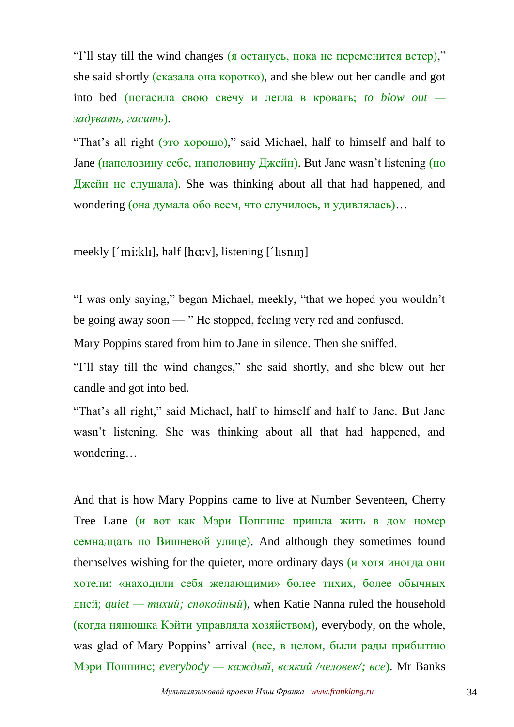"I'll stay till the wind changes (я останусь, пока не переменится ветер)," she said shortly (сказала она коротко), and she blew out her candle and got into bed (погасила свою свечу и легла в кровать; *to blow out задувать, гасить*).

"That's all right (это хорошо)," said Michael, half to himself and half to Jane (наполовину себе, наполовину Джейн). But Jane wasn't listening (но Джейн не слушала). She was thinking about all that had happened, and wondering (она думала обо всем, что случилось, и удивлялась)…

meekly  $\lceil 'mi:kl \rceil$ , half  $\lceil \ln x \rceil$ , listening  $\lceil 'l \rceil \sin \rceil$ 

"I was only saying," began Michael, meekly, "that we hoped you wouldn't be going away soon — " He stopped, feeling very red and confused.

Mary Poppins stared from him to Jane in silence. Then she sniffed.

"I'll stay till the wind changes," she said shortly, and she blew out her candle and got into bed.

"That's all right," said Michael, half to himself and half to Jane. But Jane wasn't listening. She was thinking about all that had happened, and wondering…

And that is how Mary Poppins came to live at Number Seventeen, Cherry Tree Lane (и вот как Мэри Поппинс пришла жить в дом номер семнадцать по Вишневой улице). And although they sometimes found themselves wishing for the quieter, more ordinary days (и хотя иногда они хотели: «находили себя желающими» более тихих, более обычных дней; *quiet — тихий; спокойный*), when Katie Nanna ruled the household (когда нянюшка Кэйти управляла хозяйством), everybody, on the whole, was glad of Mary Poppins' arrival (все, в целом, были рады прибытию Мэри Поппинс; *everybody — каждый, всякий /человек/; все*). Mr Banks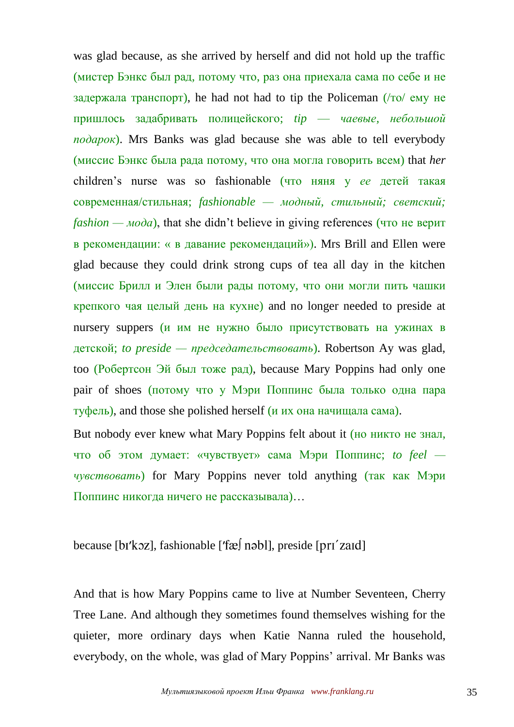was glad because, as she arrived by herself and did not hold up the traffic (мистер Бэнкс был рад, потому что, раз она приехала сама по себе и не задержала транспорт), he had not had to tip the Policeman  $(10^{-1}$  emy he пришлось задабривать полицейского; *tip* — *чаевые, небольшой подарок*). Mrs Banks was glad because she was able to tell everybody (миссис Бэнкс была рада потому, что она могла говорить всем) that *her* children's nurse was so fashionable (что няня у *ее* детей такая современная/стильная; *fashionable — модный, стильный; светский; fashion — мода*), that she didn't believe in giving references (что не верит в рекомендации: « в давание рекомендаций»). Mrs Brill and Ellen were glad because they could drink strong cups of tea all day in the kitchen (миссис Брилл и Элен были рады потому, что они могли пить чашки крепкого чая целый день на кухне) and no longer needed to preside at nursery suppers (и им не нужно было присутствовать на ужинах в детской; *to preside — председательствовать*). Robertson Ay was glad, too (Робертсон Эй был тоже рад), because Mary Poppins had only one pair of shoes (потому что у Мэри Поппинс была только одна пара туфель), and those she polished herself (и их она начищала сама).

But nobody ever knew what Mary Poppins felt about it (но никто не знал, что об этом думает: «чувствует» сама Мэри Поппинс; *to feel чувствовать*) for Mary Poppins never told anything (так как Мэри Поппинс никогда ничего не рассказывала)…

## because  $[br'koz]$ , fashionable  $[faf]$  nəbl], preside  $[pr1'z$ aid

And that is how Mary Poppins came to live at Number Seventeen, Cherry Tree Lane. And although they sometimes found themselves wishing for the quieter, more ordinary days when Katie Nanna ruled the household, everybody, on the whole, was glad of Mary Poppins' arrival. Mr Banks was